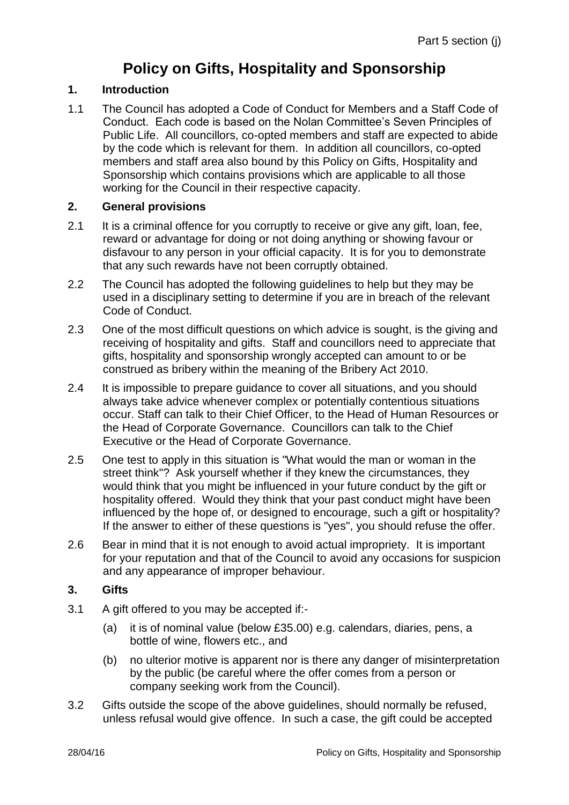# **Policy on Gifts, Hospitality and Sponsorship**

## **1. Introduction**

1.1 The Council has adopted a Code of Conduct for Members and a Staff Code of Conduct. Each code is based on the Nolan Committee's Seven Principles of Public Life. All councillors, co-opted members and staff are expected to abide by the code which is relevant for them. In addition all councillors, co-opted members and staff area also bound by this Policy on Gifts, Hospitality and Sponsorship which contains provisions which are applicable to all those working for the Council in their respective capacity.

### **2. General provisions**

- 2.1 It is a criminal offence for you corruptly to receive or give any gift, loan, fee, reward or advantage for doing or not doing anything or showing favour or disfavour to any person in your official capacity. It is for you to demonstrate that any such rewards have not been corruptly obtained.
- 2.2 The Council has adopted the following guidelines to help but they may be used in a disciplinary setting to determine if you are in breach of the relevant Code of Conduct.
- 2.3 One of the most difficult questions on which advice is sought, is the giving and receiving of hospitality and gifts. Staff and councillors need to appreciate that gifts, hospitality and sponsorship wrongly accepted can amount to or be construed as bribery within the meaning of the Bribery Act 2010.
- 2.4 It is impossible to prepare guidance to cover all situations, and you should always take advice whenever complex or potentially contentious situations occur. Staff can talk to their Chief Officer, to the Head of Human Resources or the Head of Corporate Governance. Councillors can talk to the Chief Executive or the Head of Corporate Governance.
- 2.5 One test to apply in this situation is "What would the man or woman in the street think"? Ask yourself whether if they knew the circumstances, they would think that you might be influenced in your future conduct by the gift or hospitality offered. Would they think that your past conduct might have been influenced by the hope of, or designed to encourage, such a gift or hospitality? If the answer to either of these questions is "yes", you should refuse the offer.
- 2.6 Bear in mind that it is not enough to avoid actual impropriety. It is important for your reputation and that of the Council to avoid any occasions for suspicion and any appearance of improper behaviour.

### **3. Gifts**

- 3.1 A gift offered to you may be accepted if:-
	- (a) it is of nominal value (below £35.00) e.g. calendars, diaries, pens, a bottle of wine, flowers etc., and
	- (b) no ulterior motive is apparent nor is there any danger of misinterpretation by the public (be careful where the offer comes from a person or company seeking work from the Council).
- 3.2 Gifts outside the scope of the above guidelines, should normally be refused, unless refusal would give offence. In such a case, the gift could be accepted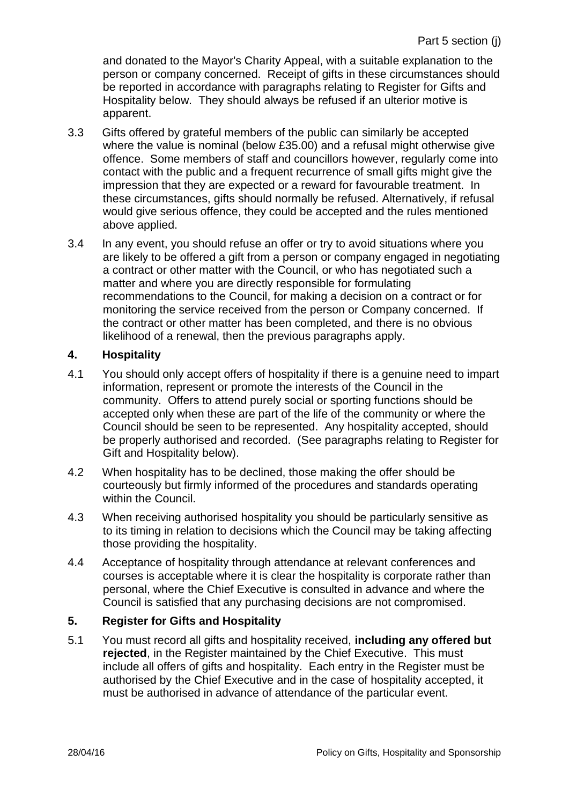and donated to the Mayor's Charity Appeal, with a suitable explanation to the person or company concerned. Receipt of gifts in these circumstances should be reported in accordance with paragraphs relating to Register for Gifts and Hospitality below. They should always be refused if an ulterior motive is apparent.

- 3.3 Gifts offered by grateful members of the public can similarly be accepted where the value is nominal (below £35.00) and a refusal might otherwise give offence. Some members of staff and councillors however, regularly come into contact with the public and a frequent recurrence of small gifts might give the impression that they are expected or a reward for favourable treatment. In these circumstances, gifts should normally be refused. Alternatively, if refusal would give serious offence, they could be accepted and the rules mentioned above applied.
- 3.4 In any event, you should refuse an offer or try to avoid situations where you are likely to be offered a gift from a person or company engaged in negotiating a contract or other matter with the Council, or who has negotiated such a matter and where you are directly responsible for formulating recommendations to the Council, for making a decision on a contract or for monitoring the service received from the person or Company concerned. If the contract or other matter has been completed, and there is no obvious likelihood of a renewal, then the previous paragraphs apply.

#### **4. Hospitality**

- 4.1 You should only accept offers of hospitality if there is a genuine need to impart information, represent or promote the interests of the Council in the community. Offers to attend purely social or sporting functions should be accepted only when these are part of the life of the community or where the Council should be seen to be represented. Any hospitality accepted, should be properly authorised and recorded. (See paragraphs relating to Register for Gift and Hospitality below).
- 4.2 When hospitality has to be declined, those making the offer should be courteously but firmly informed of the procedures and standards operating within the Council.
- 4.3 When receiving authorised hospitality you should be particularly sensitive as to its timing in relation to decisions which the Council may be taking affecting those providing the hospitality.
- 4.4 Acceptance of hospitality through attendance at relevant conferences and courses is acceptable where it is clear the hospitality is corporate rather than personal, where the Chief Executive is consulted in advance and where the Council is satisfied that any purchasing decisions are not compromised.

#### **5. Register for Gifts and Hospitality**

5.1 You must record all gifts and hospitality received, **including any offered but rejected**, in the Register maintained by the Chief Executive. This must include all offers of gifts and hospitality. Each entry in the Register must be authorised by the Chief Executive and in the case of hospitality accepted, it must be authorised in advance of attendance of the particular event.